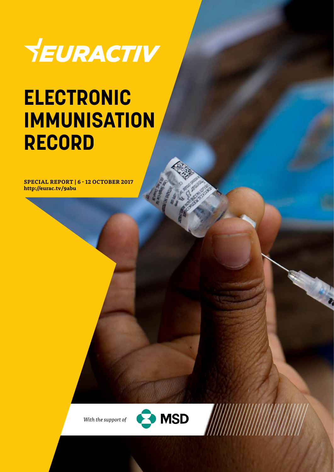

## **ELECTRONIC IMMUNISATION RECORD**

**SPECIAL REPORT | 6 - 12 OCTOBER 2017 http://eurac.tv/9abu**



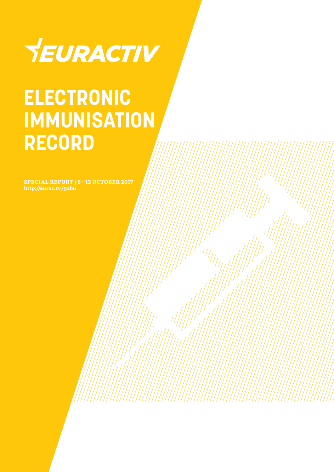

## **ELECTRONIC IMMUNISATION RECORD**

**SPECIAL REPORT | 6 - 12 OCTOBER 2017 http://eurac.tv/9abu**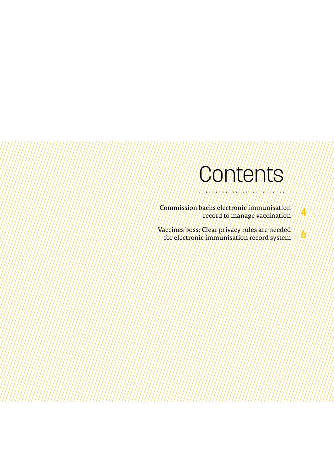### Contents

**4**

**6**

Commission backs electronic immunisation record to manage vaccination

Vaccines boss: Clear privacy rules are needed for electronic immunisation record system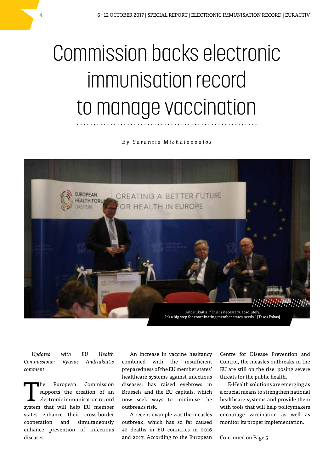## Commission backs electronic immunisation record to manage vaccination

*By Sarantis Michalopoulos*



*Updated with EU Health Commissioner Vytenis Andriukaitis comment.*

The European Commission<br>supports the creation of an<br>electronic immunisation record supports the creation of an electronic immunisation record system that will help EU member states enhance their cross-border cooperation and simultaneously enhance prevention of infectious diseases.

An increase in vaccine hesitancy combined with the insufficient preparedness of the EU member states' healthcare systems against infectious diseases, has raised eyebrows in Brussels and the EU capitals, which now seek ways to minimise the outbreaks risk.

A recent example was the measles outbreak, which has so far caused 42 deaths in EU countries in 2016 and 2017. According to the European Centre for Disease Prevention and Control, the measles outbreaks in the EU are still on the rise, posing severe threats for the public health.

E-Health solutions are emerging as a crucial means to strengthen national healthcare systems and provide them with tools that will help policymakers encourage vaccination as well as monitor its proper implementation.

Continued on Page 5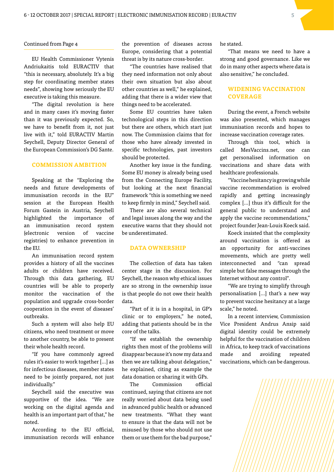### Continued from Page 4

EU Health Commissioner Vytenis Andriukaitis told EURACTIV that "this is necessary, absolutely. It's a big step for coordinating member states needs", showing how seriously the EU executive is taking this measure.

"The digital revolution is here and in many cases it's moving faster than it was previously expected. So, we have to benefit from it, not just live with it," told EURACTIV Martin Seychell, Deputy Director General of the European Commission's DG Sante.

### **COMMISSION AMBITION**

Speaking at the "Exploring the needs and future developments of immunisation records in the EU" session at the European Health Forum Gastein in Austria, Seychell highlighted the importance of an immunisation record system (electronic version of vaccine registries) to enhance prevention in the EU.

An immunisation record system provides a history of all the vaccines adults or children have received. Through this data gathering, EU countries will be able to properly monitor the vaccination of the population and upgrade cross-border cooperation in the event of diseases' outbreaks.

Such a system will also help EU citizens, who need treatment or move to another country, be able to present their whole health record.

"If you have commonly agreed rules it's easier to work together […] as for infectious diseases, member states need to be jointly prepared, not just individually."

Seychell said the executive was supportive of the idea. "We are working on the digital agenda and health is an important part of that," he noted.

According to the EU official, immunisation records will enhance

the prevention of diseases across Europe, considering that a potential threat is by its nature cross-border.

"The countries have realised that they need information not only about their own situation but also about other countries as well," he explained, adding that there is a wider view that things need to be accelerated.

Some EU countries have taken technological steps in this direction but there are others, which start just now. The Commission claims that for those who have already invested in specific technologies, past investors should be protected.

Another key issue is the funding. Some EU money is already being used from the Connecting Europe Facility, but looking at the next financial framework "this is something we need to keep firmly in mind," Seychell said.

There are also several technical and legal issues along the way and the executive warns that they should not be underestimated.

### **DATA OWNERSHIP**

The collection of data has taken center stage in the discussion. For Seychell, the reason why ethical issues are so strong in the ownership issue is that people do not owe their health data.

"Part of it is in a hospital, in GP's clinic or to employers," he noted, adding that patients should be in the core of the talks.

"If we establish the ownership rights then most of the problems will disappear because it's now my data and then we are talking about delegation," he explained, citing as example the data donation or sharing it with GPs.

The Commission official continued, saying that citizens are not really worried about data being used in advanced public health or advanced new treatments. "What they want to ensure is that the data will not be misused by those who should not use them or use them for the bad purpose,"

he stated.

"That means we need to have a strong and good governance. Like we do in many other aspects where data is also sensitive," he concluded.

### **WIDENING VACCINATION COVERAGE**

During the event, a French website was also presented, which manages immunisation records and hopes to increase vaccination coverage rates.

Through this tool, which is called MesVaccins.net, one can get personalised information on vaccinations and share data with healthcare professionals.

"Vaccine hesitancy is growing while vaccine recommendation is evolved rapidly and getting increasingly complex […] thus it's difficult for the general public to understand and apply the vaccine recommendations," project founder Jean-Louis Koeck said.

Koeck insisted that the complexity around vaccination is offered as an opportunity for anti-vaccines movements, which are pretty well interconnected and "can spread simple but false messages through the Internet without any control".

"We are trying to simplify through personalisation […] that's a new way to prevent vaccine hesitancy at a large scale," he noted.

In a recent interview, Commission Vice President Andrus Ansip said digital identity could be extremely helpful for the vaccination of children in Africa, to keep track of vaccinations made and avoiding repeated vaccinations, which can be dangerous.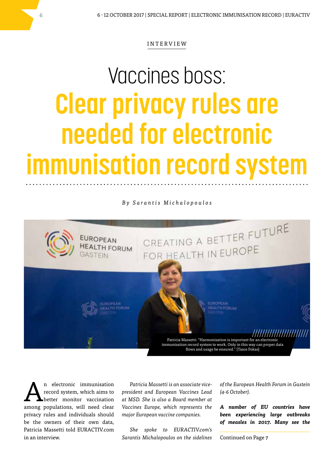### INTERVIEW

# Vaccines boss: **Clear privacy rules are needed for electronic immunisation record system**

*By Sarantis Michalopoulos*



n electronic immunisation record system, which aims to better monitor vaccination among populations, will need clear privacy rules and individuals should be the owners of their own data, Patricia Massetti told EURACTIV.com in an interview.

*Patricia Massetti is an associate vicepresident and European Vaccines Lead at MSD. She is also a Board member at Vaccines Europe, which represents the major European vaccine companies.* 

*She spoke to EURACTIV.com's Sarantis Michalopoulos on the sidelines*  *of the European Health Forum in Gastein (4-6 October).*

*A number of EU countries have been experiencing large outbreaks of measles in 2017. Many see the* 

Continued on Page 7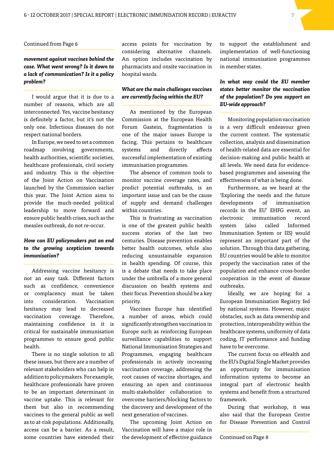### Continued from Page 6

### *movement against vaccines behind the case. What went wrong? Is it down to a lack of communication? Is it a policy problem?*

I would argue that it is due to a number of reasons, which are all interconnected. Yes, vaccine hesitancy is definitely a factor, but it's not the only one. Infectious diseases do not respect national borders.

In Europe, we need to set a common roadmap involving governments, health authorities, scientific societies, healthcare professionals, civil society and industry. This is the objective of the Joint Action on Vaccination launched by the Commission earlier this year. The Joint Action aims to provide the much-needed political leadership to move forward and ensure public health crises, such as the measles outbreak, do not re-occur.

### *How can EU policymakers put an end to the growing scepticism towards immunisation?*

Addressing vaccine hesitancy is not an easy task. Different factors such as confidence, convenience or complacency must be taken into consideration. Vaccination hesitancy may lead to decreased vaccination coverage. Therefore, maintaining confidence in it is critical for sustainable immunisation programmes to ensure good public health.

There is no single solution to all these issues, but there are a number of relevant stakeholders who can help in addition to policymakers. For example, healthcare professionals have proven to be an important determinant in vaccine uptake. This is relevant for them but also in recommending vaccines to the general public as well as to at-risk populations. Additionally, access can be a barrier. As a result, some countries have extended their access points for vaccination by considering alternative channels. An option includes vaccination by pharmacists and onsite vaccination in hospital wards.

### *What are the main challenges vaccines are currently facing within the EU?*

As mentioned by the European Commission at the European Health Forum Gastein, fragmentation is one of the major issues Europe is facing. This pertains to healthcare systems and directly affects successful implementation of existing immunisation programmes.

The absence of common tools to monitor vaccine coverage rates, and predict potential outbreaks, is an important issue and can be the cause of supply and demand challenges within countries.

This is frustrating as vaccination is one of the greatest public health success stories of the last two centuries. Disease prevention enables better health outcomes, while also reducing unsustainable expansion in health spending. Of course, this is a debate that needs to take place under the umbrella of a more general discussion on health systems and their focus. Prevention should be a key priority.

Vaccines Europe has identified a number of areas, which could significantly strengthen vaccination in Europe such as reinforcing European surveillance capabilities to support National Immunisation Strategies and Programmes, engaging healthcare professionals in actively increasing vaccination coverage, addressing the root causes of vaccine shortages, and ensuring an open and continuous multi-stakeholder collaboration to overcome barriers/blocking factors to the discovery and development of the next generation of vaccines.

The upcoming Joint Action on Vaccination will have a major role in the development of effective guidance to support the establishment and implementation of well-functioning national immunisation programmes in member states.

### *In what way could the EU member states better monitor the vaccination of the population? Do you support an EU-wide approach?*

Monitoring population vaccination is a very difficult endeavour given the current context. The systematic collection, analysis and dissemination of health-related data are essential for decision-making and public health at all levels. We need data for evidencebased programmes and assessing the effectiveness of what is being done.

Furthermore, as we heard at the 'Exploring the needs and the future developments of immunisation records in the EU' EHFG event, an electronic immunisation record system (also called Informed Immunisation System or IIS) would represent an important part of the solution. Through this data gathering, EU countries would be able to monitor properly the vaccination rates of the population and enhance cross-border cooperation in the event of disease outbreaks.

Ideally, we are hoping for a European Immunisation Registry fed by national systems. However, major obstacles, such as data ownership and protection, interoperability within the healthcare systems, uniformity of data coding, IT performance and funding have to be overcome.

The current focus on eHealth and the EU's Digital Single Market provides an opportunity for immunisation information systems to become an integral part of electronic health systems and benefit from a structured framework.

During that workshop, it was also said that the European Centre for Disease Prevention and Control

Continued on Page 8